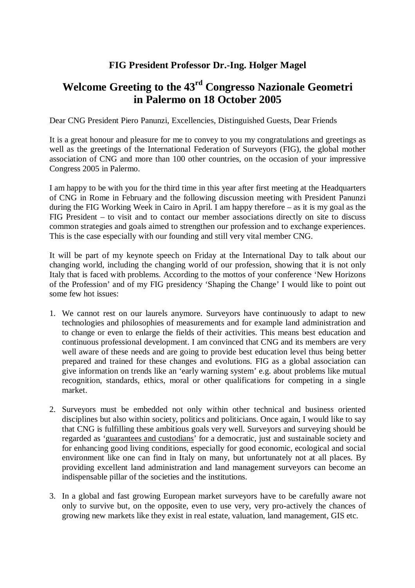## **FIG President Professor Dr.-Ing. Holger Magel**

## **Welcome Greeting to the 43rd Congresso Nazionale Geometri in Palermo on 18 October 2005**

Dear CNG President Piero Panunzi, Excellencies, Distinguished Guests, Dear Friends

It is a great honour and pleasure for me to convey to you my congratulations and greetings as well as the greetings of the International Federation of Surveyors (FIG), the global mother association of CNG and more than 100 other countries, on the occasion of your impressive Congress 2005 in Palermo.

I am happy to be with you for the third time in this year after first meeting at the Headquarters of CNG in Rome in February and the following discussion meeting with President Panunzi during the FIG Working Week in Cairo in April. I am happy therefore – as it is my goal as the FIG President – to visit and to contact our member associations directly on site to discuss common strategies and goals aimed to strengthen our profession and to exchange experiences. This is the case especially with our founding and still very vital member CNG.

It will be part of my keynote speech on Friday at the International Day to talk about our changing world, including the changing world of our profession, showing that it is not only Italy that is faced with problems. According to the mottos of your conference 'New Horizons of the Profession' and of my FIG presidency 'Shaping the Change' I would like to point out some few hot issues:

- 1. We cannot rest on our laurels anymore. Surveyors have continuously to adapt to new technologies and philosophies of measurements and for example land administration and to change or even to enlarge the fields of their activities. This means best education and continuous professional development. I am convinced that CNG and its members are very well aware of these needs and are going to provide best education level thus being better prepared and trained for these changes and evolutions. FIG as a global association can give information on trends like an 'early warning system' e.g. about problems like mutual recognition, standards, ethics, moral or other qualifications for competing in a single market.
- 2. Surveyors must be embedded not only within other technical and business oriented disciplines but also within society, politics and politicians. Once again, I would like to say that CNG is fulfilling these ambitious goals very well. Surveyors and surveying should be regarded as 'guarantees and custodians' for a democratic, just and sustainable society and for enhancing good living conditions, especially for good economic, ecological and social environment like one can find in Italy on many, but unfortunately not at all places. By providing excellent land administration and land management surveyors can become an indispensable pillar of the societies and the institutions.
- 3. In a global and fast growing European market surveyors have to be carefully aware not only to survive but, on the opposite, even to use very, very pro-actively the chances of growing new markets like they exist in real estate, valuation, land management, GIS etc.